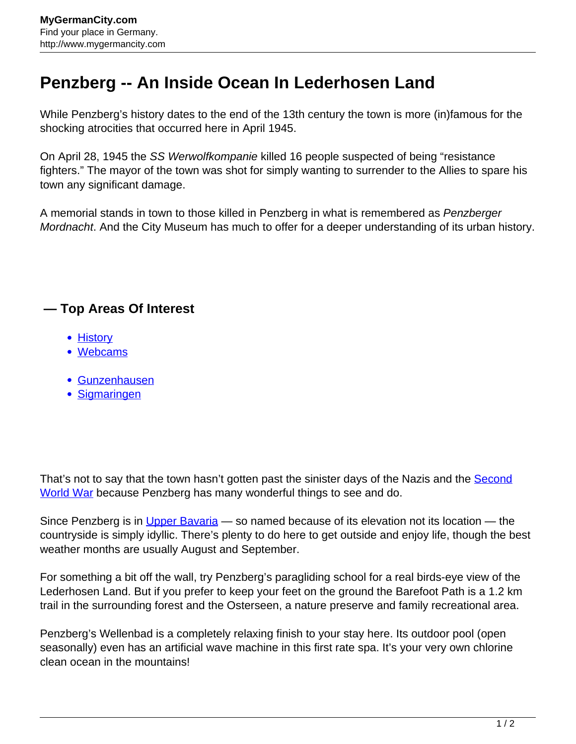## **Penzberg -- An Inside Ocean In Lederhosen Land**

While Penzberg's history dates to the end of the 13th century the town is more (in)famous for the shocking atrocities that occurred here in April 1945.

On April 28, 1945 the SS Werwolfkompanie killed 16 people suspected of being "resistance fighters." The mayor of the town was shot for simply wanting to surrender to the Allies to spare his town any significant damage.

A memorial stands in town to those killed in Penzberg in what is remembered as *Penzberger* Mordnacht. And the City Museum has much to offer for a deeper understanding of its urban history.

## **— Top Areas Of Interest**

- **[History](http://www.mygermancity.com/leipzig-history)**
- [Webcams](http://www.mygermancity.com/neustadt-holstein-webcams)
- [Gunzenhausen](http://www.mygermancity.com/gunzenhausen)
- [Sigmaringen](http://www.mygermancity.com/sigmaringen)

That's not to say that the town hasn't gotten past the sinister days of the Nazis and the [Second](http://www.mygermancity.com/world-war-ii) [World War](http://www.mygermancity.com/world-war-ii) because Penzberg has many wonderful things to see and do.

Since Penzberg is in [Upper Bavaria](http://www.mygermancity.com/upper-bavaria) — so named because of its elevation not its location — the countryside is simply idyllic. There's plenty to do here to get outside and enjoy life, though the best weather months are usually August and September.

For something a bit off the wall, try Penzberg's paragliding school for a real birds-eye view of the Lederhosen Land. But if you prefer to keep your feet on the ground the Barefoot Path is a 1.2 km trail in the surrounding forest and the Osterseen, a nature preserve and family recreational area.

Penzberg's Wellenbad is a completely relaxing finish to your stay here. Its outdoor pool (open seasonally) even has an artificial wave machine in this first rate spa. It's your very own chlorine clean ocean in the mountains!